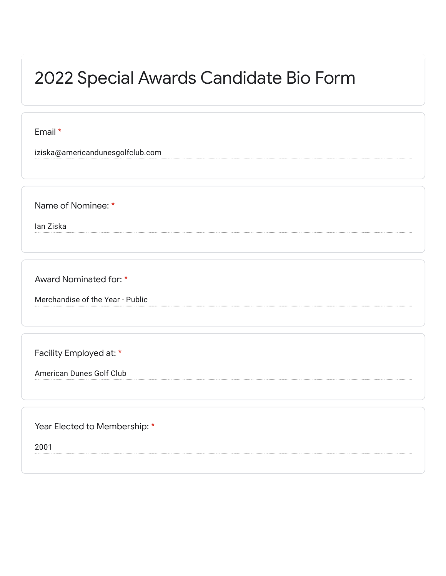## 2022 Special Awards Candidate Bio Form

Email \*

iziska@americandunesgolfclub.com

Name of Nominee: \*

Ian Ziska

Award Nominated for: \*

Merchandise of the Year - Public

Facility Employed at: \*

American Dunes Golf Club

Year Elected to Membership: \*

2001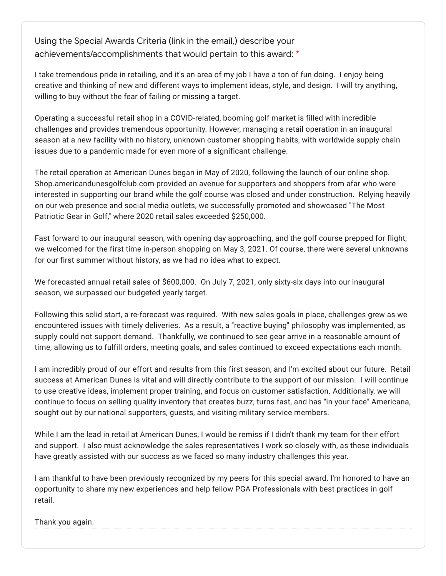Using the Special Awards Criteria (link in the email,) describe your achievements/accomplishments that would pertain to this award: \*

I take tremendous pride in retailing, and it's an area of my job I have a ton of fun doing. I enjoy being creative and thinking of new and different ways to implement ideas, style, and design. I will try anything, willing to buy without the fear of failing or missing a target.

Operating a successful retail shop in a COVID-related, booming golf market is filled with incredible challenges and provides tremendous opportunity. However, managing a retail operation in an inaugural season at a new facility with no history, unknown customer shopping habits, with worldwide supply chain issues due to a pandemic made for even more of a significant challenge.

The retail operation at American Dunes began in May of 2020, following the launch of our online shop. Shop.americandunesgolfclub.com provided an avenue for supporters and shoppers from afar who were interested in supporting our brand while the golf course was closed and under construction. Relying heavily on our web presence and social media outlets, we successfully promoted and showcased "The Most Patriotic Gear in Golf," where 2020 retail sales exceeded \$250,000.

Fast forward to our inaugural season, with opening day approaching, and the golf course prepped for flight; we welcomed for the first time in-person shopping on May 3, 2021. Of course, there were several unknowns for our first summer without history, as we had no idea what to expect.

We forecasted annual retail sales of \$600,000. On July 7, 2021, only sixty-six days into our inaugural season, we surpassed our budgeted yearly target.

Following this solid start, a re-forecast was required. With new sales goals in place, challenges grew as we encountered issues with timely deliveries. As a result, a "reactive buying" philosophy was implemented, as supply could not support demand. Thankfully, we continued to see gear arrive in a reasonable amount of time, allowing us to fulfill orders, meeting goals, and sales continued to exceed expectations each month.

I am incredibly proud of our effort and results from this first season, and I'm excited about our future. Retail success at American Dunes is vital and will directly contribute to the support of our mission. I will continue to use creative ideas, implement proper training, and focus on customer satisfaction. Additionally, we will continue to focus on selling quality inventory that creates buzz, turns fast, and has "in your face" Americana, sought out by our national supporters, guests, and visiting military service members.

While I am the lead in retail at American Dunes, I would be remiss if I didn't thank my team for their effort and support. I also must acknowledge the sales representatives I work so closely with, as these individuals have greatly assisted with our success as we faced so many industry challenges this year.

I am thankful to have been previously recognized by my peers for this special award. I'm honored to have an opportunity to share my new experiences and help fellow PGA Professionals with best practices in golf retail.

Thank you again.